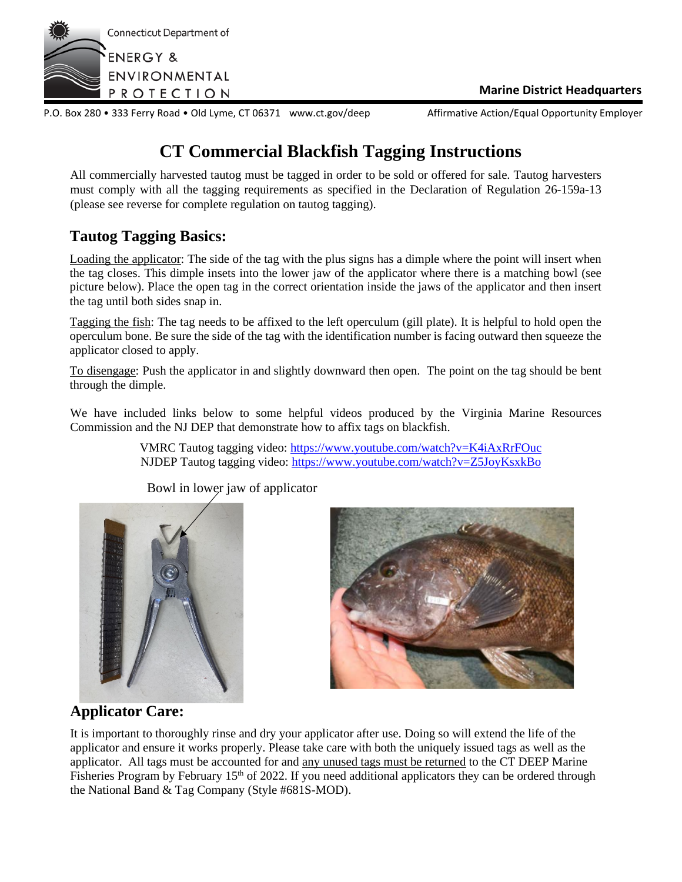

**Marine District Headquarters**

P.O. Box 280 • 333 Ferry Road • Old Lyme, CT 06371 www.ct.gov/deep Affirmative Action/Equal Opportunity Employer

# **CT Commercial Blackfish Tagging Instructions**

All commercially harvested tautog must be tagged in order to be sold or offered for sale. Tautog harvesters must comply with all the tagging requirements as specified in the Declaration of Regulation 26-159a-13 (please see reverse for complete regulation on tautog tagging).

## **Tautog Tagging Basics:**

Loading the applicator: The side of the tag with the plus signs has a dimple where the point will insert when the tag closes. This dimple insets into the lower jaw of the applicator where there is a matching bowl (see picture below). Place the open tag in the correct orientation inside the jaws of the applicator and then insert the tag until both sides snap in.

Tagging the fish: The tag needs to be affixed to the left operculum (gill plate). It is helpful to hold open the operculum bone. Be sure the side of the tag with the identification number is facing outward then squeeze the applicator closed to apply.

To disengage: Push the applicator in and slightly downward then open. The point on the tag should be bent through the dimple.

We have included links below to some helpful videos produced by the Virginia Marine Resources Commission and the NJ DEP that demonstrate how to affix tags on blackfish.

> VMRC Tautog tagging video[: https://www.youtube.com/watch?v=K4iAxRrFOuc](https://www.youtube.com/watch?v=K4iAxRrFOuc) NJDEP Tautog tagging video:<https://www.youtube.com/watch?v=Z5JoyKsxkBo>





### Bowl in lower jaw of applicator

### **Applicator Care:**

It is important to thoroughly rinse and dry your applicator after use. Doing so will extend the life of the applicator and ensure it works properly. Please take care with both the uniquely issued tags as well as the applicator. All tags must be accounted for and any unused tags must be returned to the CT DEEP Marine Fisheries Program by February 15<sup>th</sup> of 2022. If you need additional applicators they can be ordered through the National Band & Tag Company (Style #681S-MOD).